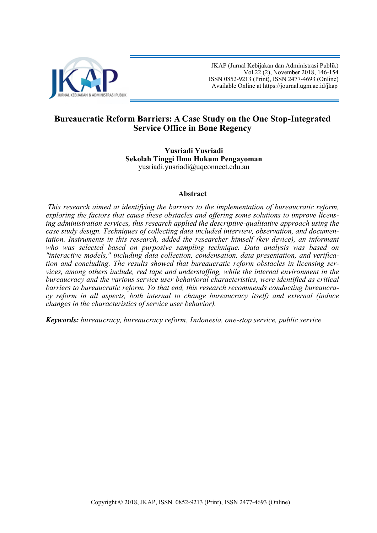

 JKAP (Jurnal Kebijakan dan Administrasi Publik) Vol.22 (2), November 2018, 146-154 ISSN 0852-9213 (Print), ISSN 2477-4693 (Online) Available Online at [https://journal.ugm.ac.id/jkap](http://journal.ugm.ac.id/jkap)

# **Bureaucratic Reform Barriers: A Case Study on the One Stop-Integrated Service Office in Bone Regency**

**Yusriadi Yusriadi Sekolah Tinggi Ilmu Hukum Pengayoman** yusriadi.yusriadi@uqconnect.edu.au

### **Abstract**

*This research aimed at identifying the barriers to the implementation of bureaucratic reform, exploring the factors that cause these obstacles and offering some solutions to improve licensing administration services, this research applied the descriptive-qualitative approach using the case study design. Techniques of collecting data included interview, observation, and documentation. Instruments in this research, added the researcher himself (key device), an informant who was selected based on purposive sampling technique. Data analysis was based on "interactive models," including data collection, condensation, data presentation, and verification and concluding. The results showed that bureaucratic reform obstacles in licensing services, among others include, red tape and understaffing, while the internal environment in the bureaucracy and the various service user behavioral characteristics, were identified as critical barriers to bureaucratic reform. To that end, this research recommends conducting bureaucracy reform in all aspects, both internal to change bureaucracy itself) and external (induce changes in the characteristics of service user behavior).* 

*Keywords: bureaucracy, bureaucracy reform, Indonesia, one-stop service, public service*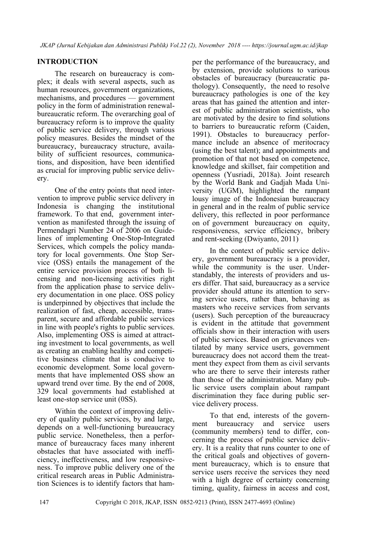## **INTRODUCTION**

The research on bureaucracy is complex; it deals with several aspects, such as human resources, government organizations, mechanisms, and procedures — government policy in the form of administration renewalbureaucratic reform. The overarching goal of bureaucracy reform is to improve the quality of public service delivery, through various policy measures. Besides the mindset of the bureaucracy, bureaucracy structure, availability of sufficient resources, communications, and disposition, have been identified as crucial for improving public service delivery.

One of the entry points that need intervention to improve public service delivery in Indonesia is changing the institutional framework. To that end, government intervention as manifested through the issuing of Permendagri Number 24 of 2006 on Guidelines of implementing One-Stop-Integrated Services, which compels the policy mandatory for local governments. One Stop Service (OSS) entails the management of the entire service provision process of both licensing and non-licensing activities right from the application phase to service delivery documentation in one place. OSS policy is underpinned by objectives that include the realization of fast, cheap, accessible, transparent, secure and affordable public services in line with people's rights to public services. Also, implementing OSS is aimed at attracting investment to local governments, as well as creating an enabling healthy and competitive business climate that is conducive to economic development. Some local governments that have implemented OSS show an upward trend over time. By the end of 2008, 329 local governments had established at least one-stop service unit (0SS).

Within the context of improving delivery of quality public services, by and large, depends on a well-functioning bureaucracy public service. Nonetheless, then a performance of bureaucracy faces many inherent obstacles that have associated with inefficiency, ineffectiveness, and low responsiveness. To improve public delivery one of the critical research areas in Public Administration Sciences is to identify factors that ham-

per the performance of the bureaucracy, and by extension, provide solutions to various obstacles of bureaucracy (bureaucratic pathology). Consequently, the need to resolve bureaucracy pathologies is one of the key areas that has gained the attention and interest of public administration scientists, who are motivated by the desire to find solutions to barriers to bureaucratic reform (Caiden, 1991). Obstacles to bureaucracy performance include an absence of meritocracy (using the best talent); and appointments and promotion of that not based on competence, knowledge and skillset, fair competition and openness (Yusriadi, 2018a). Joint research by the World Bank and Gadjah Mada University (UGM), highlighted the rampant lousy image of the Indonesian bureaucracy in general and in the realm of public service delivery, this reflected in poor performance on of government bureaucracy on equity, responsiveness, service efficiency, bribery and rent-seeking (Dwiyanto, 2011)

In the context of public service delivery, government bureaucracy is a provider, while the community is the user. Understandably, the interests of providers and users differ. That said, bureaucracy as a service provider should attune its attention to serving service users, rather than, behaving as masters who receive services from servants (users). Such perception of the bureaucracy is evident in the attitude that government officials show in their interaction with users of public services. Based on grievances ventilated by many service users, government bureaucracy does not accord them the treatment they expect from them as civil servants who are there to serve their interests rather than those of the administration. Many public service users complain about rampant discrimination they face during public service delivery process.

To that end, interests of the government bureaucracy and service users (community members) tend to differ, concerning the process of public service delivery. It is a reality that runs counter to one of the critical goals and objectives of government bureaucracy, which is to ensure that service users receive the services they need with a high degree of certainty concerning timing, quality, fairness in access and cost,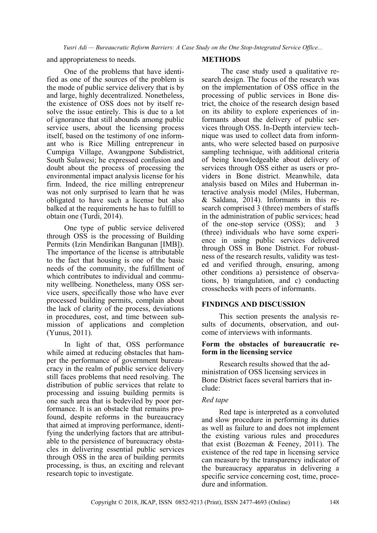*Yusri Adi — Bureaucratic Reform Barriers: A Case Study on the One Stop-Integrated Service Office...*

and appropriateness to needs.

One of the problems that have identified as one of the sources of the problem is the mode of public service delivery that is by and large, highly decentralized. Nonetheless, the existence of OSS does not by itself resolve the issue entirely. This is due to a lot of ignorance that still abounds among public service users, about the licensing process itself, based on the testimony of one informant who is Rice Milling entrepreneur in Cumpiga Village, Awangpone Subdistrict, South Sulawesi; he expressed confusion and doubt about the process of processing the environmental impact analysis license for his firm. Indeed, the rice milling entrepreneur was not only surprised to learn that he was obligated to have such a license but also balked at the requirements he has to fulfill to obtain one (Turdi, 2014).

One type of public service delivered through OSS is the processing of Building Permits (Izin Mendirikan Bangunan [IMB]). The importance of the license is attributable to the fact that housing is one of the basic needs of the community, the fulfillment of which contributes to individual and community wellbeing. Nonetheless, many OSS service users, specifically those who have ever processed building permits, complain about the lack of clarity of the process, deviations in procedures, cost, and time between submission of applications and completion (Yunus, 2011).

In light of that, OSS performance while aimed at reducing obstacles that hamper the performance of government bureaucracy in the realm of public service delivery still faces problems that need resolving. The distribution of public services that relate to processing and issuing building permits is one such area that is bedeviled by poor performance. It is an obstacle that remains profound, despite reforms in the bureaucracy that aimed at improving performance, identifying the underlying factors that are attributable to the persistence of bureaucracy obstacles in delivering essential public services through OSS in the area of building permits processing, is thus, an exciting and relevant research topic to investigate.

### **METHODS**

The case study used a qualitative research design. The focus of the research was on the implementation of OSS office in the processing of public services in Bone district, the choice of the research design based on its ability to explore experiences of informants about the delivery of public services through OSS. In-Depth interview technique was used to collect data from informants, who were selected based on purposive sampling technique, with additional criteria of being knowledgeable about delivery of services through OSS either as users or providers in Bone district. Meanwhile, data analysis based on Miles and Huberman interactive analysis model (Miles, Huberman, & Saldana, 2014). Informants in this research comprised 3 (three) members of staffs in the administration of public services; head of the one-stop service (OSS); and 3 (three) individuals who have some experience in using public services delivered through OSS in Bone District. For robustness of the research results, validity was tested and verified through, ensuring, among other conditions a) persistence of observations, b) triangulation, and c) conducting crosschecks with peers of informants.

## **FINDINGS AND DISCUSSION**

This section presents the analysis results of documents, observation, and outcome of interviews with informants.

### **Form the obstacles of bureaucratic reform in the licensing service**

Research results showed that the administration of OSS licensing services in Bone District faces several barriers that include:

### *Red tape*

Red tape is interpreted as a convoluted and slow procedure in performing its duties as well as failure to and does not implement the existing various rules and procedures that exist (Bozeman & Feeney, 2011). The existence of the red tape in licensing service can measure by the transparency indicator of the bureaucracy apparatus in delivering a specific service concerning cost, time, procedure and information.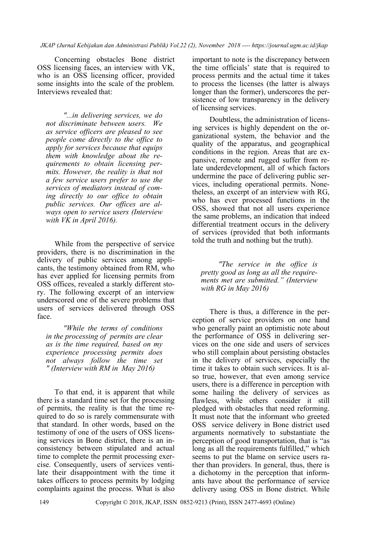Concerning obstacles Bone district OSS licensing faces, an interview with VK, who is an OSS licensing officer, provided some insights into the scale of the problem. Interviews revealed that:

*"...in delivering services, we do not discriminate between users. We as service officers are pleased to see people come directly to the office to apply for services because that equips them with knowledge about the requirements to obtain licensing permits. However, the reality is that not a few service users prefer to use the services of mediators instead of coming directly to our office to obtain public services. Our offices are always open to service users (Interview with VK in April 2016).*

While from the perspective of service providers, there is no discrimination in the delivery of public services among applicants, the testimony obtained from RM, who has ever applied for licensing permits from OSS offices, revealed a starkly different story. The following excerpt of an interview underscored one of the severe problems that users of services delivered through OSS face.

*"While the terms of conditions in the processing of permits are clear as is the time required, based on my experience processing permits does not always follow the time set " (Interview with RM in May 2016)*

To that end, it is apparent that while there is a standard time set for the processing of permits, the reality is that the time required to do so is rarely commensurate with that standard. In other words, based on the testimony of one of the users of OSS licensing services in Bone district, there is an inconsistency between stipulated and actual time to complete the permit processing exercise. Consequently, users of services ventilate their disappointment with the time it takes officers to process permits by lodging complaints against the process. What is also

important to note is the discrepancy between the time officials' state that is required to process permits and the actual time it takes to process the licenses (the latter is always longer than the former), underscores the persistence of low transparency in the delivery of licensing services.

Doubtless, the administration of licensing services is highly dependent on the organizational system, the behavior and the quality of the apparatus, and geographical conditions in the region. Areas that are expansive, remote and rugged suffer from relate underdevelopment, all of which factors undermine the pace of delivering public services, including operational permits. Nonetheless, an excerpt of an interview with RG, who has ever processed functions in the OSS, showed that not all users experience the same problems, an indication that indeed differential treatment occurs in the delivery of services (provided that both informants told the truth and nothing but the truth).

*"The service in the office is pretty good as long as all the requirements met are submitted." (Interview with RG in May 2016)*

There is thus, a difference in the perception of service providers on one hand who generally paint an optimistic note about the performance of OSS in delivering services on the one side and users of services who still complain about persisting obstacles in the delivery of services, especially the time it takes to obtain such services. It is also true, however, that even among service users, there is a difference in perception with some hailing the delivery of services as flawless, while others consider it still pledged with obstacles that need reforming. It must note that the informant who greeted OSS service delivery in Bone district used arguments normatively to substantiate the perception of good transportation, that is "as long as all the requirements fulfilled," which seems to put the blame on service users rather than providers. In general, thus, there is a dichotomy in the perception that informants have about the performance of service delivery using OSS in Bone district. While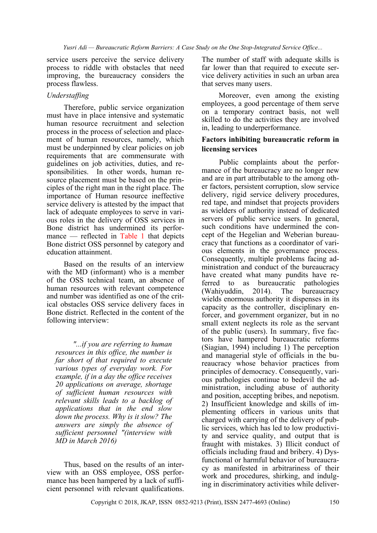service users perceive the service delivery process to riddle with obstacles that need improving, the bureaucracy considers the process flawless.

## *Understaffing*

Therefore, public service organization must have in place intensive and systematic human resource recruitment and selection process in the process of selection and placement of human resources, namely, which must be underpinned by clear policies on job requirements that are commensurate with guidelines on job activities, duties, and responsibilities. In other words, human resource placement must be based on the principles of the right man in the right place. The importance of Human resource ineffective service delivery is attested by the impact that lack of adequate employees to serve in various roles in the delivery of OSS services in Bone district has undermined its performance — reflected in Table 1 that depicts Bone district OSS personnel by category and education attainment.

Based on the results of an interview with the MD (informant) who is a member of the OSS technical team, an absence of human resources with relevant competence and number was identified as one of the critical obstacles OSS service delivery faces in Bone district. Reflected in the content of the following interview:

*"...if you are referring to human resources in this office, the number is far short of that required to execute various types of everyday work. For example, if in a day the office receives 20 applications on average, shortage of sufficient human resources with relevant skills leads to a backlog of applications that in the end slow down the process. Why is it slow? The answers are simply the absence of sufficient personnel "(interview with MD in March 2016)*

Thus, based on the results of an interview with an OSS employee, OSS performance has been hampered by a lack of sufficient personnel with relevant qualifications. The number of staff with adequate skills is far lower than that required to execute service delivery activities in such an urban area that serves many users.

Moreover, even among the existing employees, a good percentage of them serve on a temporary contract basis, not well skilled to do the activities they are involved in, leading to underperformance.

## **Factors inhibiting bureaucratic reform in licensing services**

Public complaints about the performance of the bureaucracy are no longer new and are in part attributable to the among other factors, persistent corruption, slow service delivery, rigid service delivery procedures, red tape, and mindset that projects providers as wielders of authority instead of dedicated servers of public service users. In general, such conditions have undermined the concept of the Hegelian and Weberian bureaucracy that functions as a coordinator of various elements in the governance process. Consequently, multiple problems facing administration and conduct of the bureaucracy have created what many pundits have referred to as bureaucratic pathologies (Wahiyuddin, 2014). The bureaucracy wields enormous authority it dispenses in its capacity as the controller, disciplinary enforcer, and government organizer, but in no small extent neglects its role as the servant of the public (users). In summary, five factors have hampered bureaucratic reforms (Siagian, 1994) including 1) The perception and managerial style of officials in the bureaucracy whose behavior practices from principles of democracy. Consequently, various pathologies continue to bedevil the administration, including abuse of authority and position, accepting bribes, and nepotism. 2) Insufficient knowledge and skills of implementing officers in various units that charged with carrying of the delivery of public services, which has led to low productivity and service quality, and output that is fraught with mistakes. 3) Illicit conduct of officials including fraud and bribery. 4) Dysfunctional or harmful behavior of bureaucracy as manifested in arbitrariness of their work and procedures, shirking, and indulging in discriminatory activities while deliver-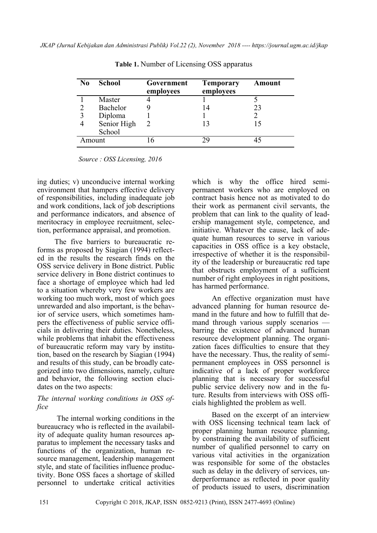| No.    | <b>School</b> | Government<br>employees | <b>Temporary</b><br>employees | <b>Amount</b> |
|--------|---------------|-------------------------|-------------------------------|---------------|
|        | Master        |                         |                               |               |
|        | Bachelor      |                         | 14                            | 23            |
| 3      | Diploma       |                         |                               |               |
|        | Senior High   |                         | 13                            |               |
|        | School        |                         |                               |               |
| Amount |               |                         | 20                            |               |

**Table 1.** Number of Licensing OSS apparatus

*Source : OSS Licensing, 2016* 

ing duties; v) unconducive internal working environment that hampers effective delivery of responsibilities, including inadequate job and work conditions, lack of job descriptions and performance indicators, and absence of meritocracy in employee recruitment, selection, performance appraisal, and promotion.

The five barriers to bureaucratic reforms as proposed by Siagian (1994) reflected in the results the research finds on the OSS service delivery in Bone district. Public service delivery in Bone district continues to face a shortage of employee which had led to a situation whereby very few workers are working too much work, most of which goes unrewarded and also important, is the behavior of service users, which sometimes hampers the effectiveness of public service officials in delivering their duties. Nonetheless, while problems that inhabit the effectiveness of bureaucratic reform may vary by institution, based on the research by Siagian (1994) and results of this study, can be broadly categorized into two dimensions, namely, culture and behavior, the following section elucidates on the two aspects:

## *The internal working conditions in OSS office*

The internal working conditions in the bureaucracy who is reflected in the availability of adequate quality human resources apparatus to implement the necessary tasks and functions of the organization, human resource management, leadership management style, and state of facilities influence productivity. Bone OSS faces a shortage of skilled personnel to undertake critical activities

which is why the office hired semipermanent workers who are employed on contract basis hence not as motivated to do their work as permanent civil servants, the problem that can link to the quality of leadership management style, competence, and initiative. Whatever the cause, lack of adequate human resources to serve in various capacities in OSS office is a key obstacle, irrespective of whether it is the responsibility of the leadership or bureaucratic red tape that obstructs employment of a sufficient number of right employees in right positions, has harmed performance.

An effective organization must have advanced planning for human resource demand in the future and how to fulfill that demand through various supply scenarios barring the existence of advanced human resource development planning. The organization faces difficulties to ensure that they have the necessary. Thus, the reality of semipermanent employees in OSS personnel is indicative of a lack of proper workforce planning that is necessary for successful public service delivery now and in the future. Results from interviews with OSS officials highlighted the problem as well.

Based on the excerpt of an interview with OSS licensing technical team lack of proper planning human resource planning, by constraining the availability of sufficient number of qualified personnel to carry on various vital activities in the organization was responsible for some of the obstacles such as delay in the delivery of services, underperformance as reflected in poor quality of products issued to users, discrimination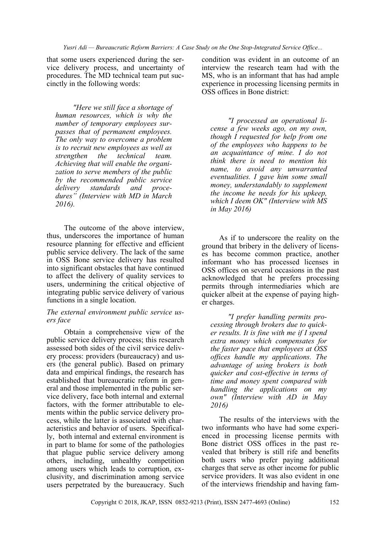that some users experienced during the service delivery process, and uncertainty of procedures. The MD technical team put succinctly in the following words:

*"Here we still face a shortage of human resources, which is why the number of temporary employees surpasses that of permanent employees. The only way to overcome a problem is to recruit new employees as well as strengthen the technical team. Achieving that will enable the organization to serve members of the public by the recommended public service delivery standards and procedures" (Interview with MD in March 2016).*

The outcome of the above interview, thus, underscores the importance of human resource planning for effective and efficient public service delivery. The lack of the same in OSS Bone service delivery has resulted into significant obstacles that have continued to affect the delivery of quality services to users, undermining the critical objective of integrating public service delivery of various functions in a single location.

### *The external environment public service users face*

Obtain a comprehensive view of the public service delivery process; this research assessed both sides of the civil service delivery process: providers (bureaucracy) and users (the general public). Based on primary data and empirical findings, the research has established that bureaucratic reform in general and those implemented in the public service delivery, face both internal and external factors, with the former attributable to elements within the public service delivery process, while the latter is associated with characteristics and behavior of users. Specifically, both internal and external environment is in part to blame for some of the pathologies that plague public service delivery among others, including, unhealthy competition among users which leads to corruption, exclusivity, and discrimination among service users perpetrated by the bureaucracy. Such condition was evident in an outcome of an interview the research team had with the MS, who is an informant that has had ample experience in processing licensing permits in OSS offices in Bone district:

*"I processed an operational license a few weeks ago, on my own, though I requested for help from one of the employees who happens to be an acquaintance of mine. I do not think there is need to mention his name, to avoid any unwarranted eventualities. I gave him some small money, understandably to supplement the income he needs for his upkeep, which I deem OK" (Interview with MS in May 2016)*

As if to underscore the reality on the ground that bribery in the delivery of licenses has become common practice, another informant who has processed licenses in OSS offices on several occasions in the past acknowledged that he prefers processing permits through intermediaries which are quicker albeit at the expense of paying higher charges.

*"I prefer handling permits processing through brokers due to quicker results. It is fine with me if I spend extra money which compensates for the faster pace that employees at OSS offices handle my applications. The advantage of using brokers is both quicker and cost-effective in terms of time and money spent compared with handling the applications on my own" (Interview with AD in May 2016)*

The results of the interviews with the two informants who have had some experienced in processing license permits with Bone district OSS offices in the past revealed that bribery is still rife and benefits both users who prefer paying additional charges that serve as other income for public service providers. It was also evident in one of the interviews friendship and having fam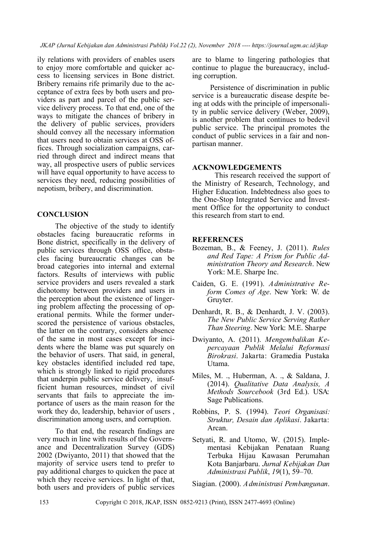*JKAP (Jurnal Kebijakan dan Administrasi Publik) Vol.22 (2), November 2018 ---- https://journal.ugm.ac.id/jkap*

ily relations with providers of enables users to enjoy more comfortable and quicker access to licensing services in Bone district. Bribery remains rife primarily due to the acceptance of extra fees by both users and providers as part and parcel of the public service delivery process. To that end, one of the ways to mitigate the chances of bribery in the delivery of public services, providers should convey all the necessary information that users need to obtain services at OSS offices. Through socialization campaigns, carried through direct and indirect means that way, all prospective users of public services will have equal opportunity to have access to services they need, reducing possibilities of nepotism, bribery, and discrimination.

## **CONCLUSION**

The objective of the study to identify obstacles facing bureaucratic reforms in Bone district, specifically in the delivery of public services through OSS office, obstacles facing bureaucratic changes can be broad categories into internal and external factors. Results of interviews with public service providers and users revealed a stark dichotomy between providers and users in the perception about the existence of lingering problem affecting the processing of operational permits. While the former underscored the persistence of various obstacles, the latter on the contrary, considers absence of the same in most cases except for incidents where the blame was put squarely on the behavior of users. That said, in general, key obstacles identified included red tape, which is strongly linked to rigid procedures that underpin public service delivery, insufficient human resources, mindset of civil servants that fails to appreciate the importance of users as the main reason for the work they do, leadership, behavior of users , discrimination among users, and corruption.

To that end, the research findings are very much in line with results of the Governance and Decentralization Survey (GDS) 2002 (Dwiyanto, 2011) that showed that the majority of service users tend to prefer to pay additional charges to quicken the pace at which they receive services. In light of that, both users and providers of public services

are to blame to lingering pathologies that continue to plague the bureaucracy, including corruption.

Persistence of discrimination in public service is a bureaucratic disease despite being at odds with the principle of impersonality in public service delivery (Weber, 2009), is another problem that continues to bedevil public service. The principal promotes the conduct of public services in a fair and nonpartisan manner.

#### **ACKNOWLEDGEMENTS**

This research received the support of the Ministry of Research, Technology, and Higher Education. Indebtedness also goes to the One-Stop Integrated Service and Investment Office for the opportunity to conduct this research from start to end.

### **REFERENCES**

- Bozeman, B., & Feeney, J. (2011). *Rules and Red Tape: A Prism for Public Administration Theory and Research*. New York: M.E. Sharpe Inc.
- Caiden, G. E. (1991). *Administrative Reform Comes of Age*. New York: W. de Gruyter.
- Denhardt, R. B., & Denhardt, J. V. (2003). *The New Public Service Serving Rather Than Steering*. New York: M.E. Sharpe
- Dwiyanto, A. (2011). *Mengembalikan Kepercayaan Publik Melalui Reformasi Birokrasi*. Jakarta: Gramedia Pustaka Utama.
- Miles, M. ., Huberman, A. ., & Saldana, J. (2014). *Qualitative Data Analysis, A Methods Sourcebook* (3rd Ed.). USA: Sage Publications.
- Robbins, P. S. (1994). *Teori Organisasi: Struktur, Desain dan Aplikasi*. Jakarta: Arcan.
- Setyati, R. and Utomo, W. (2015). Implementasi Kebijakan Penataan Ruang Terbuka Hijau Kawasan Perumahan Kota Banjarbaru. *Jurnal Kebijakan Dan Administrasi Publik*, *19*(1), 59–70.

Siagian. (2000). *Administrasi Pembangunan*.